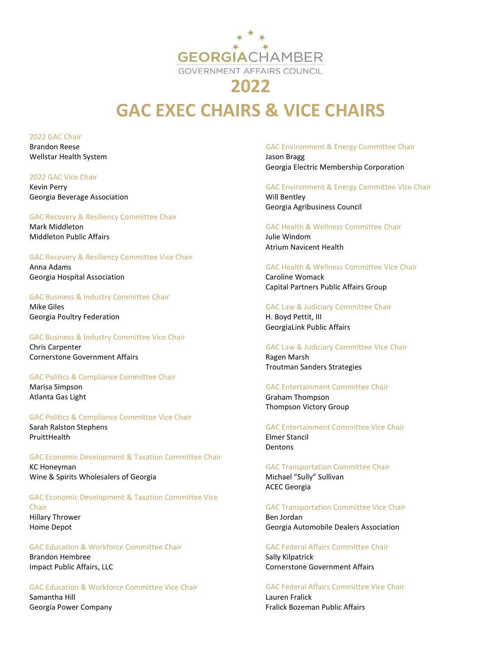

# **GAC EXEC CHAIRS & VICE CHAIRS**

2022 GAC Chair Brandon Reese Wellstar Health System

2022 GAC Vice Chair Kevin Perry Georgia Beverage Association

### GAC Recovery & Resiliency Committee Chair

Mark Middleton Middleton Public Affairs

## GAC Recovery & Resiliency Committee Vice Chair

Anna Adams Georgia Hospital Association

GAC Business & Industry Committee Chair Mike Giles Georgia Poultry Federation

GAC Business & Industry Committee Vice Chair Chris Carpenter Cornerstone Government Affairs

GAC Politics & Compliance Committee Chair Marisa Simpson Atlanta Gas Light

GAC Politics & Compliance Committee Vice Chair Sarah Ralston Stephens PruittHealth

GAC Economic Development & Taxation Committee Chair KC Honeyman Wine & Spirits Wholesalers of Georgia

GAC Economic Development & Taxation Committee Vice Chair Hillary Thrower Home Depot

## GAC Education & Workforce Committee Chair

Brandon Hembree Impact Public Affairs, LLC

GAC Education & Workforce Committee Vice Chair Samantha Hill

Georgia Power Company

#### GAC Environment & Energy Committee Chair

Jason Bragg Georgia Electric Membership Corporation

GAC Environment & Energy Committee Vice Chair

Will Bentley Georgia Agribusiness Council

GAC Health & Wellness Committee Chair Julie Windom Atrium Navicent Health

### GAC Health & Wellness Committee Vice Chair

Caroline Womack Capital Partners Public Affairs Group

GAC Law & Judiciary Committee Chair

H. Boyd Pettit, III GeorgiaLink Public Affairs

GAC Law & Judiciary Committee Vice Chair

Ragen Marsh Troutman Sanders Strategies

## GAC Entertainment Committee Chair

Graham Thompson Thompson Victory Group

GAC Entertainment Committee Vice Chair Elmer Stancil Dentons

GAC Transportation Committee Chair Michael "Sully" Sullivan ACEC Georgia

GAC Transportation Committee Vice Chair Ben Jordan

Georgia Automobile Dealers Association

GAC Federal Affairs Committee Chair Sally Kilpatrick

Cornerstone Government Affairs

GAC Federal Affairs Committee Vice Chair

Lauren Fralick Fralick Bozeman Public Affairs